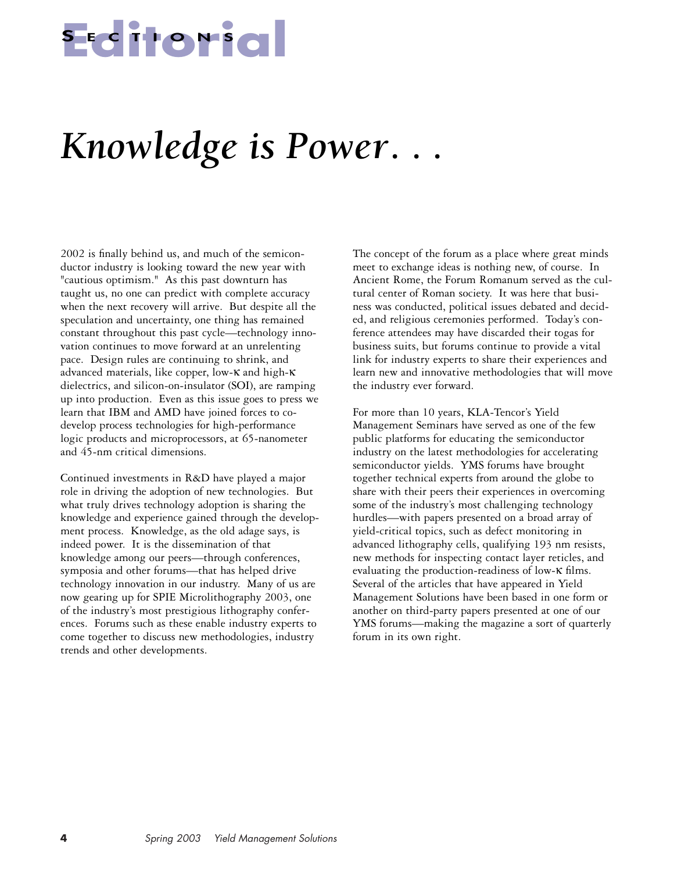# **Editorial <sup>S</sup> ECTIONS**

## *Knowledge is Power. . .*

2002 is finally behind us, and much of the semiconductor industry is looking toward the new year with "cautious optimism." As this past downturn has taught us, no one can predict with complete accuracy when the next recovery will arrive. But despite all the speculation and uncertainty, one thing has remained constant throughout this past cycle—technology innovation continues to move forward at an unrelenting pace. Design rules are continuing to shrink, and advanced materials, like copper, low-κ and high-κ dielectrics, and silicon-on-insulator (SOI), are ramping up into production. Even as this issue goes to press we learn that IBM and AMD have joined forces to codevelop process technologies for high-performance logic products and microprocessors, at 65-nanometer and 45-nm critical dimensions.

Continued investments in R&D have played a major role in driving the adoption of new technologies. But what truly drives technology adoption is sharing the knowledge and experience gained through the development process. Knowledge, as the old adage says, is indeed power. It is the dissemination of that knowledge among our peers—through conferences, symposia and other forums—that has helped drive technology innovation in our industry. Many of us are now gearing up for SPIE Microlithography 2003, one of the industry's most prestigious lithography conferences. Forums such as these enable industry experts to come together to discuss new methodologies, industry trends and other developments.

The concept of the forum as a place where great minds meet to exchange ideas is nothing new, of course. In Ancient Rome, the Forum Romanum served as the cultural center of Roman society. It was here that business was conducted, political issues debated and decided, and religious ceremonies performed. Today's conference attendees may have discarded their togas for business suits, but forums continue to provide a vital link for industry experts to share their experiences and learn new and innovative methodologies that will move the industry ever forward.

For more than 10 years, KLA-Tencor's Yield Management Seminars have served as one of the few public platforms for educating the semiconductor industry on the latest methodologies for accelerating semiconductor yields. YMS forums have brought together technical experts from around the globe to share with their peers their experiences in overcoming some of the industry's most challenging technology hurdles—with papers presented on a broad array of yield-critical topics, such as defect monitoring in advanced lithography cells, qualifying 193 nm resists, new methods for inspecting contact layer reticles, and evaluating the production-readiness of low-κ films. Several of the articles that have appeared in Yield Management Solutions have been based in one form or another on third-party papers presented at one of our YMS forums—making the magazine a sort of quarterly forum in its own right.